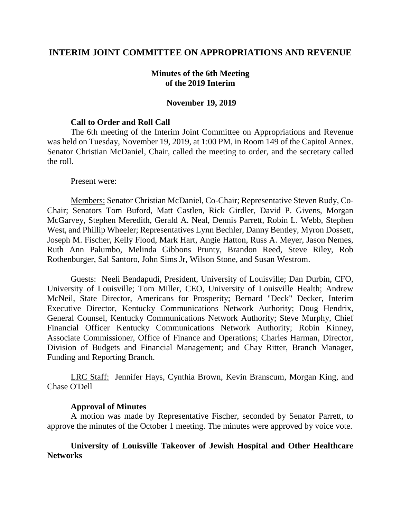## **INTERIM JOINT COMMITTEE ON APPROPRIATIONS AND REVENUE**

## **Minutes of the 6th Meeting of the 2019 Interim**

### **November 19, 2019**

### **Call to Order and Roll Call**

The 6th meeting of the Interim Joint Committee on Appropriations and Revenue was held on Tuesday, November 19, 2019, at 1:00 PM, in Room 149 of the Capitol Annex. Senator Christian McDaniel, Chair, called the meeting to order, and the secretary called the roll.

#### Present were:

Members: Senator Christian McDaniel, Co-Chair; Representative Steven Rudy, Co-Chair; Senators Tom Buford, Matt Castlen, Rick Girdler, David P. Givens, Morgan McGarvey, Stephen Meredith, Gerald A. Neal, Dennis Parrett, Robin L. Webb, Stephen West, and Phillip Wheeler; Representatives Lynn Bechler, Danny Bentley, Myron Dossett, Joseph M. Fischer, Kelly Flood, Mark Hart, Angie Hatton, Russ A. Meyer, Jason Nemes, Ruth Ann Palumbo, Melinda Gibbons Prunty, Brandon Reed, Steve Riley, Rob Rothenburger, Sal Santoro, John Sims Jr, Wilson Stone, and Susan Westrom.

Guests: Neeli Bendapudi, President, University of Louisville; Dan Durbin, CFO, University of Louisville; Tom Miller, CEO, University of Louisville Health; Andrew McNeil, State Director, Americans for Prosperity; Bernard "Deck" Decker, Interim Executive Director, Kentucky Communications Network Authority; Doug Hendrix, General Counsel, Kentucky Communications Network Authority; Steve Murphy, Chief Financial Officer Kentucky Communications Network Authority; Robin Kinney, Associate Commissioner, Office of Finance and Operations; Charles Harman, Director, Division of Budgets and Financial Management; and Chay Ritter, Branch Manager, Funding and Reporting Branch.

LRC Staff: Jennifer Hays, Cynthia Brown, Kevin Branscum, Morgan King, and Chase O'Dell

#### **Approval of Minutes**

A motion was made by Representative Fischer, seconded by Senator Parrett, to approve the minutes of the October 1 meeting. The minutes were approved by voice vote.

## **University of Louisville Takeover of Jewish Hospital and Other Healthcare Networks**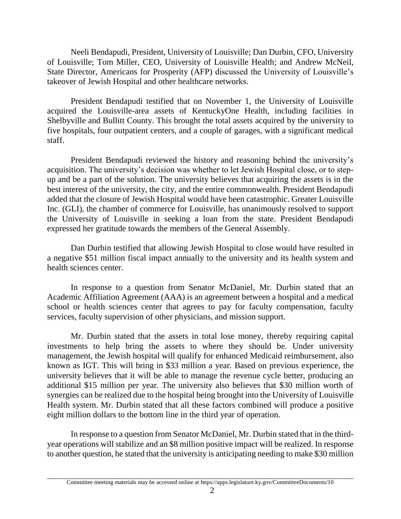Neeli Bendapudi, President, University of Louisville; Dan Durbin, CFO, University of Louisville; Tom Miller, CEO, University of Louisville Health; and Andrew McNeil, State Director, Americans for Prosperity (AFP) discussed the University of Louisville's takeover of Jewish Hospital and other healthcare networks.

President Bendapudi testified that on November 1, the University of Louisville acquired the Louisville-area assets of KentuckyOne Health, including facilities in Shelbyville and Bullitt County. This brought the total assets acquired by the university to five hospitals, four outpatient centers, and a couple of garages, with a significant medical staff.

President Bendapudi reviewed the history and reasoning behind the university's acquisition. The university's decision was whether to let Jewish Hospital close, or to stepup and be a part of the solution. The university believes that acquiring the assets is in the best interest of the university, the city, and the entire commonwealth. President Bendapudi added that the closure of Jewish Hospital would have been catastrophic. Greater Louisville Inc. (GLI), the chamber of commerce for Louisville, has unanimously resolved to support the University of Louisville in seeking a loan from the state. President Bendapudi expressed her gratitude towards the members of the General Assembly.

Dan Durbin testified that allowing Jewish Hospital to close would have resulted in a negative \$51 million fiscal impact annually to the university and its health system and health sciences center.

In response to a question from Senator McDaniel, Mr. Durbin stated that an Academic Affiliation Agreement (AAA) is an agreement between a hospital and a medical school or health sciences center that agrees to pay for faculty compensation, faculty services, faculty supervision of other physicians, and mission support.

Mr. Durbin stated that the assets in total lose money, thereby requiring capital investments to help bring the assets to where they should be. Under university management, the Jewish hospital will qualify for enhanced Medicaid reimbursement, also known as IGT. This will bring in \$33 million a year. Based on previous experience, the university believes that it will be able to manage the revenue cycle better, producing an additional \$15 million per year. The university also believes that \$30 million worth of synergies can be realized due to the hospital being brought into the University of Louisville Health system. Mr. Durbin stated that all these factors combined will produce a positive eight million dollars to the bottom line in the third year of operation.

In response to a question from Senator McDaniel, Mr. Durbin stated that in the thirdyear operations will stabilize and an \$8 million positive impact will be realized. In response to another question, he stated that the university is anticipating needing to make \$30 million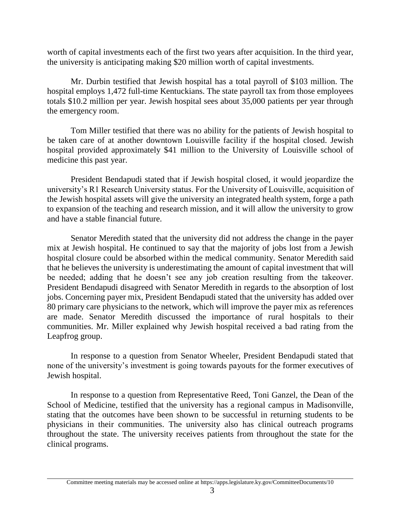worth of capital investments each of the first two years after acquisition. In the third year, the university is anticipating making \$20 million worth of capital investments.

Mr. Durbin testified that Jewish hospital has a total payroll of \$103 million. The hospital employs 1,472 full-time Kentuckians. The state payroll tax from those employees totals \$10.2 million per year. Jewish hospital sees about 35,000 patients per year through the emergency room.

Tom Miller testified that there was no ability for the patients of Jewish hospital to be taken care of at another downtown Louisville facility if the hospital closed. Jewish hospital provided approximately \$41 million to the University of Louisville school of medicine this past year.

President Bendapudi stated that if Jewish hospital closed, it would jeopardize the university's R1 Research University status. For the University of Louisville, acquisition of the Jewish hospital assets will give the university an integrated health system, forge a path to expansion of the teaching and research mission, and it will allow the university to grow and have a stable financial future.

Senator Meredith stated that the university did not address the change in the payer mix at Jewish hospital. He continued to say that the majority of jobs lost from a Jewish hospital closure could be absorbed within the medical community. Senator Meredith said that he believes the university is underestimating the amount of capital investment that will be needed; adding that he doesn't see any job creation resulting from the takeover. President Bendapudi disagreed with Senator Meredith in regards to the absorption of lost jobs. Concerning payer mix, President Bendapudi stated that the university has added over 80 primary care physicians to the network, which will improve the payer mix as references are made. Senator Meredith discussed the importance of rural hospitals to their communities. Mr. Miller explained why Jewish hospital received a bad rating from the Leapfrog group.

In response to a question from Senator Wheeler, President Bendapudi stated that none of the university's investment is going towards payouts for the former executives of Jewish hospital.

In response to a question from Representative Reed, Toni Ganzel, the Dean of the School of Medicine, testified that the university has a regional campus in Madisonville, stating that the outcomes have been shown to be successful in returning students to be physicians in their communities. The university also has clinical outreach programs throughout the state. The university receives patients from throughout the state for the clinical programs.

Committee meeting materials may be accessed online at https://apps.legislature.ky.gov/CommitteeDocuments/10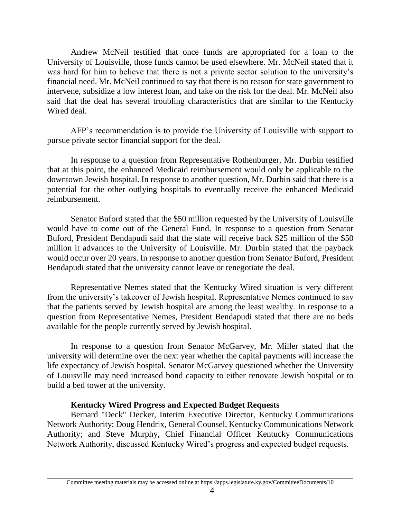Andrew McNeil testified that once funds are appropriated for a loan to the University of Louisville, those funds cannot be used elsewhere. Mr. McNeil stated that it was hard for him to believe that there is not a private sector solution to the university's financial need. Mr. McNeil continued to say that there is no reason for state government to intervene, subsidize a low interest loan, and take on the risk for the deal. Mr. McNeil also said that the deal has several troubling characteristics that are similar to the Kentucky Wired deal.

AFP's recommendation is to provide the University of Louisville with support to pursue private sector financial support for the deal.

In response to a question from Representative Rothenburger, Mr. Durbin testified that at this point, the enhanced Medicaid reimbursement would only be applicable to the downtown Jewish hospital. In response to another question, Mr. Durbin said that there is a potential for the other outlying hospitals to eventually receive the enhanced Medicaid reimbursement.

Senator Buford stated that the \$50 million requested by the University of Louisville would have to come out of the General Fund. In response to a question from Senator Buford, President Bendapudi said that the state will receive back \$25 million of the \$50 million it advances to the University of Louisville. Mr. Durbin stated that the payback would occur over 20 years. In response to another question from Senator Buford, President Bendapudi stated that the university cannot leave or renegotiate the deal.

Representative Nemes stated that the Kentucky Wired situation is very different from the university's takeover of Jewish hospital. Representative Nemes continued to say that the patients served by Jewish hospital are among the least wealthy. In response to a question from Representative Nemes, President Bendapudi stated that there are no beds available for the people currently served by Jewish hospital.

In response to a question from Senator McGarvey, Mr. Miller stated that the university will determine over the next year whether the capital payments will increase the life expectancy of Jewish hospital. Senator McGarvey questioned whether the University of Louisville may need increased bond capacity to either renovate Jewish hospital or to build a bed tower at the university.

# **Kentucky Wired Progress and Expected Budget Requests**

Bernard "Deck" Decker, Interim Executive Director, Kentucky Communications Network Authority; Doug Hendrix, General Counsel, Kentucky Communications Network Authority; and Steve Murphy, Chief Financial Officer Kentucky Communications Network Authority, discussed Kentucky Wired's progress and expected budget requests.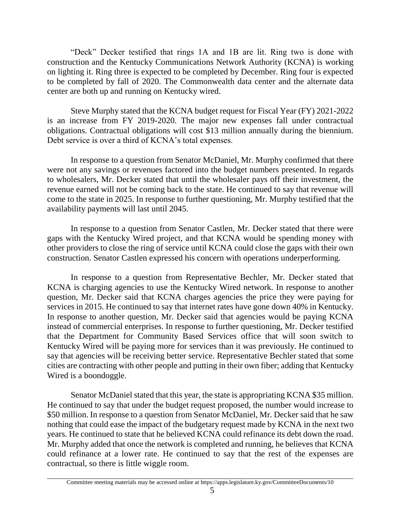"Deck" Decker testified that rings 1A and 1B are lit. Ring two is done with construction and the Kentucky Communications Network Authority (KCNA) is working on lighting it. Ring three is expected to be completed by December. Ring four is expected to be completed by fall of 2020. The Commonwealth data center and the alternate data center are both up and running on Kentucky wired.

Steve Murphy stated that the KCNA budget request for Fiscal Year (FY) 2021-2022 is an increase from FY 2019-2020. The major new expenses fall under contractual obligations. Contractual obligations will cost \$13 million annually during the biennium. Debt service is over a third of KCNA's total expenses.

In response to a question from Senator McDaniel, Mr. Murphy confirmed that there were not any savings or revenues factored into the budget numbers presented. In regards to wholesalers, Mr. Decker stated that until the wholesaler pays off their investment, the revenue earned will not be coming back to the state. He continued to say that revenue will come to the state in 2025. In response to further questioning, Mr. Murphy testified that the availability payments will last until 2045.

In response to a question from Senator Castlen, Mr. Decker stated that there were gaps with the Kentucky Wired project, and that KCNA would be spending money with other providers to close the ring of service until KCNA could close the gaps with their own construction. Senator Castlen expressed his concern with operations underperforming.

In response to a question from Representative Bechler, Mr. Decker stated that KCNA is charging agencies to use the Kentucky Wired network. In response to another question, Mr. Decker said that KCNA charges agencies the price they were paying for services in 2015. He continued to say that internet rates have gone down 40% in Kentucky. In response to another question, Mr. Decker said that agencies would be paying KCNA instead of commercial enterprises. In response to further questioning, Mr. Decker testified that the Department for Community Based Services office that will soon switch to Kentucky Wired will be paying more for services than it was previously. He continued to say that agencies will be receiving better service. Representative Bechler stated that some cities are contracting with other people and putting in their own fiber; adding that Kentucky Wired is a boondoggle.

Senator McDaniel stated that this year, the state is appropriating KCNA \$35 million. He continued to say that under the budget request proposed, the number would increase to \$50 million. In response to a question from Senator McDaniel, Mr. Decker said that he saw nothing that could ease the impact of the budgetary request made by KCNA in the next two years. He continued to state that he believed KCNA could refinance its debt down the road. Mr. Murphy added that once the network is completed and running, he believes that KCNA could refinance at a lower rate. He continued to say that the rest of the expenses are contractual, so there is little wiggle room.

Committee meeting materials may be accessed online at https://apps.legislature.ky.gov/CommitteeDocuments/10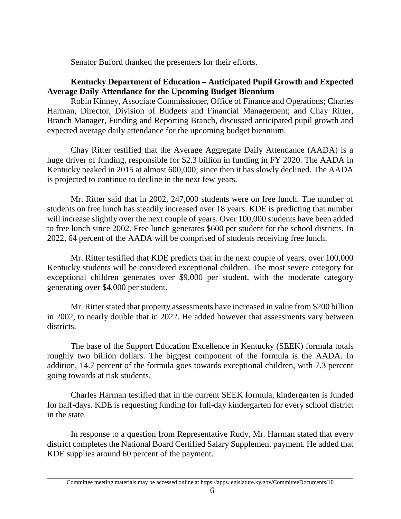Senator Buford thanked the presenters for their efforts.

# **Kentucky Department of Education – Anticipated Pupil Growth and Expected Average Daily Attendance for the Upcoming Budget Biennium**

Robin Kinney, Associate Commissioner, Office of Finance and Operations; Charles Harman, Director, Division of Budgets and Financial Management; and Chay Ritter, Branch Manager, Funding and Reporting Branch, discussed anticipated pupil growth and expected average daily attendance for the upcoming budget biennium.

Chay Ritter testified that the Average Aggregate Daily Attendance (AADA) is a huge driver of funding, responsible for \$2.3 billion in funding in FY 2020. The AADA in Kentucky peaked in 2015 at almost 600,000; since then it has slowly declined. The AADA is projected to continue to decline in the next few years.

Mr. Ritter said that in 2002, 247,000 students were on free lunch. The number of students on free lunch has steadily increased over 18 years. KDE is predicting that number will increase slightly over the next couple of years. Over 100,000 students have been added to free lunch since 2002. Free lunch generates \$600 per student for the school districts. In 2022, 64 percent of the AADA will be comprised of students receiving free lunch.

Mr. Ritter testified that KDE predicts that in the next couple of years, over 100,000 Kentucky students will be considered exceptional children. The most severe category for exceptional children generates over \$9,000 per student, with the moderate category generating over \$4,000 per student.

Mr. Ritter stated that property assessments have increased in value from \$200 billion in 2002, to nearly double that in 2022. He added however that assessments vary between districts.

The base of the Support Education Excellence in Kentucky (SEEK) formula totals roughly two billion dollars. The biggest component of the formula is the AADA. In addition, 14.7 percent of the formula goes towards exceptional children, with 7.3 percent going towards at risk students.

Charles Harman testified that in the current SEEK formula, kindergarten is funded for half-days. KDE is requesting funding for full-day kindergarten for every school district in the state.

In response to a question from Representative Rudy, Mr. Harman stated that every district completes the National Board Certified Salary Supplement payment. He added that KDE supplies around 60 percent of the payment.